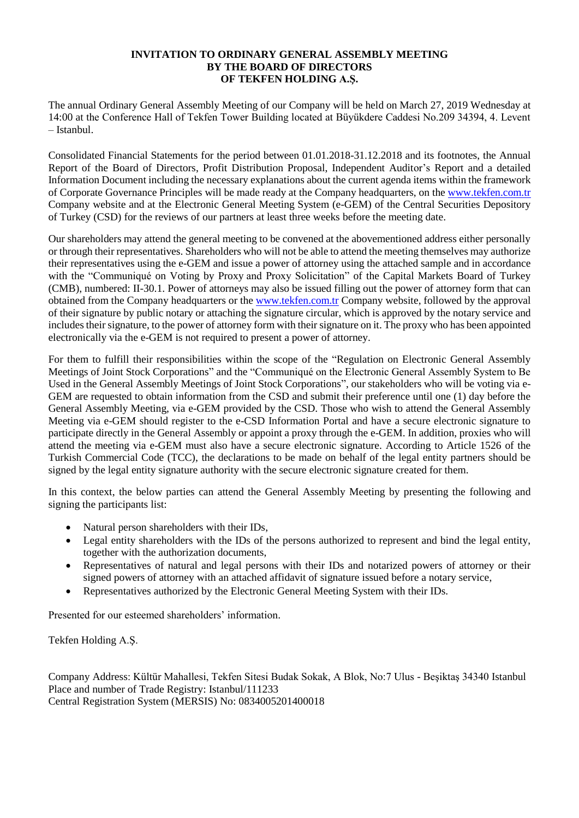#### **INVITATION TO ORDINARY GENERAL ASSEMBLY MEETING BY THE BOARD OF DIRECTORS OF TEKFEN HOLDING A.Ş.**

The annual Ordinary General Assembly Meeting of our Company will be held on March 27, 2019 Wednesday at 14:00 at the Conference Hall of Tekfen Tower Building located at Büyükdere Caddesi No.209 34394, 4. Levent – Istanbul.

Consolidated Financial Statements for the period between 01.01.2018-31.12.2018 and its footnotes, the Annual Report of the Board of Directors, Profit Distribution Proposal, Independent Auditor's Report and a detailed Information Document including the necessary explanations about the current agenda items within the framework of Corporate Governance Principles will be made ready at the Company headquarters, on the [www.tekfen.com.tr](http://www.tekfen.com.tr/) Company website and at the Electronic General Meeting System (e-GEM) of the Central Securities Depository of Turkey (CSD) for the reviews of our partners at least three weeks before the meeting date.

Our shareholders may attend the general meeting to be convened at the abovementioned address either personally or through their representatives. Shareholders who will not be able to attend the meeting themselves may authorize their representatives using the e-GEM and issue a power of attorney using the attached sample and in accordance with the "Communiqué on Voting by Proxy and Proxy Solicitation" of the Capital Markets Board of Turkey (CMB), numbered: II-30.1. Power of attorneys may also be issued filling out the power of attorney form that can obtained from the Company headquarters or the [www.tekfen.com.tr](http://www.tekfen.com.tr/) Company website, followed by the approval of their signature by public notary or attaching the signature circular, which is approved by the notary service and includestheir signature, to the power of attorney form with their signature on it. The proxy who has been appointed electronically via the e-GEM is not required to present a power of attorney.

For them to fulfill their responsibilities within the scope of the "Regulation on Electronic General Assembly Meetings of Joint Stock Corporations" and the "Communiqué on the Electronic General Assembly System to Be Used in the General Assembly Meetings of Joint Stock Corporations", our stakeholders who will be voting via e-GEM are requested to obtain information from the CSD and submit their preference until one (1) day before the General Assembly Meeting, via e-GEM provided by the CSD. Those who wish to attend the General Assembly Meeting via e-GEM should register to the e-CSD Information Portal and have a secure electronic signature to participate directly in the General Assembly or appoint a proxy through the e-GEM. In addition, proxies who will attend the meeting via e-GEM must also have a secure electronic signature. According to Article 1526 of the Turkish Commercial Code (TCC), the declarations to be made on behalf of the legal entity partners should be signed by the legal entity signature authority with the secure electronic signature created for them.

In this context, the below parties can attend the General Assembly Meeting by presenting the following and signing the participants list:

- Natural person shareholders with their IDs,
- Legal entity shareholders with the IDs of the persons authorized to represent and bind the legal entity, together with the authorization documents,
- Representatives of natural and legal persons with their IDs and notarized powers of attorney or their signed powers of attorney with an attached affidavit of signature issued before a notary service,
- Representatives authorized by the Electronic General Meeting System with their IDs.

Presented for our esteemed shareholders' information.

Tekfen Holding A.Ş.

Company Address: Kültür Mahallesi, Tekfen Sitesi Budak Sokak, A Blok, No:7 Ulus - Beşiktaş 34340 Istanbul Place and number of Trade Registry: Istanbul/111233 Central Registration System (MERSIS) No: 0834005201400018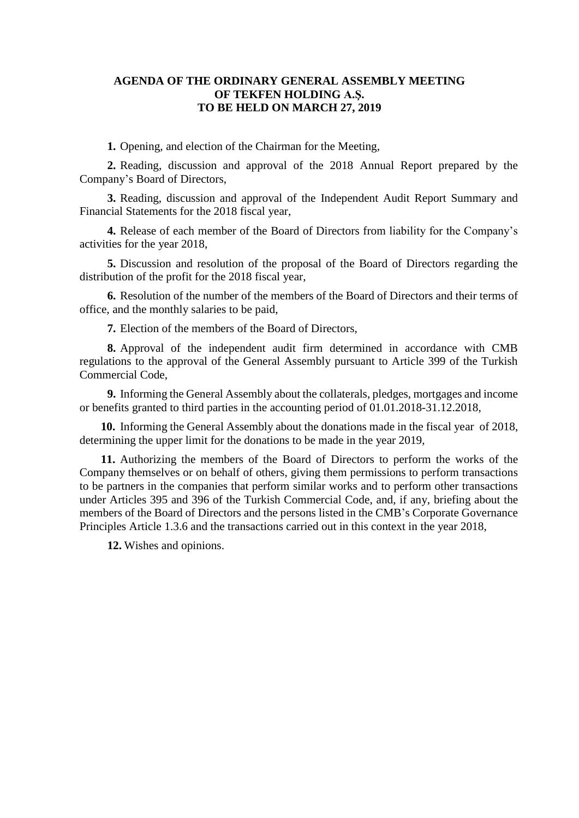### **AGENDA OF THE ORDINARY GENERAL ASSEMBLY MEETING OF TEKFEN HOLDING A.Ş. TO BE HELD ON MARCH 27, 2019**

**1.** Opening, and election of the Chairman for the Meeting,

**2.** Reading, discussion and approval of the 2018 Annual Report prepared by the Company's Board of Directors,

**3.** Reading, discussion and approval of the Independent Audit Report Summary and Financial Statements for the 2018 fiscal year,

**4.** Release of each member of the Board of Directors from liability for the Company's activities for the year 2018,

**5.** Discussion and resolution of the proposal of the Board of Directors regarding the distribution of the profit for the 2018 fiscal year,

**6.** Resolution of the number of the members of the Board of Directors and their terms of office, and the monthly salaries to be paid,

**7.** Election of the members of the Board of Directors,

**8.** Approval of the independent audit firm determined in accordance with CMB regulations to the approval of the General Assembly pursuant to Article 399 of the Turkish Commercial Code,

**9.** Informing the General Assembly about the collaterals, pledges, mortgages and income or benefits granted to third parties in the accounting period of 01.01.2018-31.12.2018,

**10.** Informing the General Assembly about the donations made in the fiscal year of 2018, determining the upper limit for the donations to be made in the year 2019,

**11.** Authorizing the members of the Board of Directors to perform the works of the Company themselves or on behalf of others, giving them permissions to perform transactions to be partners in the companies that perform similar works and to perform other transactions under Articles 395 and 396 of the Turkish Commercial Code, and, if any, briefing about the members of the Board of Directors and the persons listed in the CMB's Corporate Governance Principles Article 1.3.6 and the transactions carried out in this context in the year 2018,

**12.** Wishes and opinions.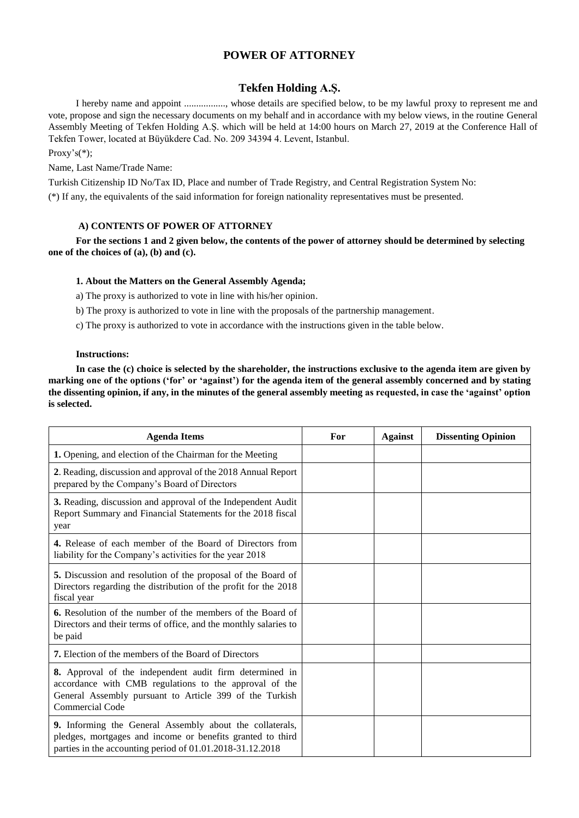### **POWER OF ATTORNEY**

#### **Tekfen Holding A.Ş.**

I hereby name and appoint ................., whose details are specified below, to be my lawful proxy to represent me and vote, propose and sign the necessary documents on my behalf and in accordance with my below views, in the routine General Assembly Meeting of Tekfen Holding A.Ş. which will be held at 14:00 hours on March 27, 2019 at the Conference Hall of Tekfen Tower, located at Büyükdere Cad. No. 209 34394 4. Levent, Istanbul.

Proxy's(\*);

Name, Last Name/Trade Name:

Turkish Citizenship ID No/Tax ID, Place and number of Trade Registry, and Central Registration System No:

(\*) If any, the equivalents of the said information for foreign nationality representatives must be presented.

#### **A) CONTENTS OF POWER OF ATTORNEY**

**For the sections 1 and 2 given below, the contents of the power of attorney should be determined by selecting one of the choices of (a), (b) and (c).** 

#### **1. About the Matters on the General Assembly Agenda;**

a) The proxy is authorized to vote in line with his/her opinion.

b) The proxy is authorized to vote in line with the proposals of the partnership management.

c) The proxy is authorized to vote in accordance with the instructions given in the table below.

#### **Instructions:**

**In case the (c) choice is selected by the shareholder, the instructions exclusive to the agenda item are given by marking one of the options ('for' or 'against') for the agenda item of the general assembly concerned and by stating the dissenting opinion, if any, in the minutes of the general assembly meeting as requested, in case the 'against' option is selected.**

| <b>Agenda Items</b>                                                                                                                                                                             | For | <b>Against</b> | <b>Dissenting Opinion</b> |
|-------------------------------------------------------------------------------------------------------------------------------------------------------------------------------------------------|-----|----------------|---------------------------|
| 1. Opening, and election of the Chairman for the Meeting                                                                                                                                        |     |                |                           |
| 2. Reading, discussion and approval of the 2018 Annual Report<br>prepared by the Company's Board of Directors                                                                                   |     |                |                           |
| 3. Reading, discussion and approval of the Independent Audit<br>Report Summary and Financial Statements for the 2018 fiscal<br>year                                                             |     |                |                           |
| 4. Release of each member of the Board of Directors from<br>liability for the Company's activities for the year 2018                                                                            |     |                |                           |
| 5. Discussion and resolution of the proposal of the Board of<br>Directors regarding the distribution of the profit for the 2018<br>fiscal year                                                  |     |                |                           |
| <b>6.</b> Resolution of the number of the members of the Board of<br>Directors and their terms of office, and the monthly salaries to<br>be paid                                                |     |                |                           |
| <b>7.</b> Election of the members of the Board of Directors                                                                                                                                     |     |                |                           |
| 8. Approval of the independent audit firm determined in<br>accordance with CMB regulations to the approval of the<br>General Assembly pursuant to Article 399 of the Turkish<br>Commercial Code |     |                |                           |
| 9. Informing the General Assembly about the collaterals,<br>pledges, mortgages and income or benefits granted to third<br>parties in the accounting period of 01.01.2018-31.12.2018             |     |                |                           |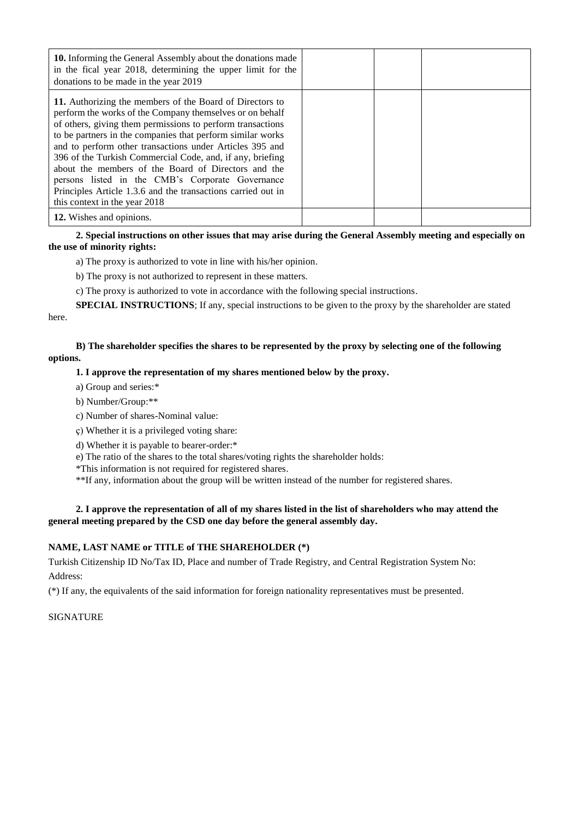| <b>10.</b> Informing the General Assembly about the donations made<br>in the fical year 2018, determining the upper limit for the<br>donations to be made in the year 2019                                                                                                                                                                                                                                                                                                                                                                                                            |  |  |
|---------------------------------------------------------------------------------------------------------------------------------------------------------------------------------------------------------------------------------------------------------------------------------------------------------------------------------------------------------------------------------------------------------------------------------------------------------------------------------------------------------------------------------------------------------------------------------------|--|--|
| 11. Authorizing the members of the Board of Directors to<br>perform the works of the Company themselves or on behalf<br>of others, giving them permissions to perform transactions<br>to be partners in the companies that perform similar works<br>and to perform other transactions under Articles 395 and<br>396 of the Turkish Commercial Code, and, if any, briefing<br>about the members of the Board of Directors and the<br>persons listed in the CMB's Corporate Governance<br>Principles Article 1.3.6 and the transactions carried out in<br>this context in the year 2018 |  |  |
| 12. Wishes and opinions.                                                                                                                                                                                                                                                                                                                                                                                                                                                                                                                                                              |  |  |

**2. Special instructions on other issues that may arise during the General Assembly meeting and especially on the use of minority rights:**

a) The proxy is authorized to vote in line with his/her opinion.

b) The proxy is not authorized to represent in these matters.

c) The proxy is authorized to vote in accordance with the following special instructions.

**SPECIAL INSTRUCTIONS**; If any, special instructions to be given to the proxy by the shareholder are stated here.

**B) The shareholder specifies the shares to be represented by the proxy by selecting one of the following options.**

#### **1. I approve the representation of my shares mentioned below by the proxy.**

- a) Group and series:\*
- b) Number/Group:\*\*
- c) Number of shares-Nominal value:
- ç) Whether it is a privileged voting share:
- d) Whether it is payable to bearer-order:\*

e) The ratio of the shares to the total shares/voting rights the shareholder holds:

\*This information is not required for registered shares.

\*\*If any, information about the group will be written instead of the number for registered shares.

#### **2. I approve the representation of all of my shares listed in the list of shareholders who may attend the general meeting prepared by the CSD one day before the general assembly day.**

#### **NAME, LAST NAME or TITLE of THE SHAREHOLDER (\*)**

Turkish Citizenship ID No/Tax ID, Place and number of Trade Registry, and Central Registration System No: Address:

(\*) If any, the equivalents of the said information for foreign nationality representatives must be presented.

#### SIGNATURE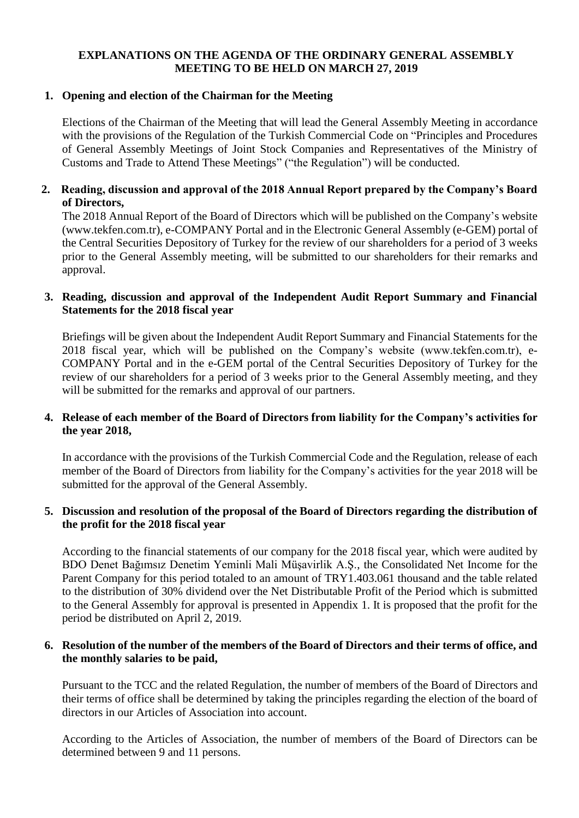## **EXPLANATIONS ON THE AGENDA OF THE ORDINARY GENERAL ASSEMBLY MEETING TO BE HELD ON MARCH 27, 2019**

### **1. Opening and election of the Chairman for the Meeting**

Elections of the Chairman of the Meeting that will lead the General Assembly Meeting in accordance with the provisions of the Regulation of the Turkish Commercial Code on "Principles and Procedures of General Assembly Meetings of Joint Stock Companies and Representatives of the Ministry of Customs and Trade to Attend These Meetings" ("the Regulation") will be conducted.

## **2. Reading, discussion and approval of the 2018 Annual Report prepared by the Company's Board of Directors,**

The 2018 Annual Report of the Board of Directors which will be published on the Company's website (www.tekfen.com.tr), e-COMPANY Portal and in the Electronic General Assembly (e-GEM) portal of the Central Securities Depository of Turkey for the review of our shareholders for a period of 3 weeks prior to the General Assembly meeting, will be submitted to our shareholders for their remarks and approval.

### **3. Reading, discussion and approval of the Independent Audit Report Summary and Financial Statements for the 2018 fiscal year**

Briefings will be given about the Independent Audit Report Summary and Financial Statements for the 2018 fiscal year, which will be published on the Company's website (www.tekfen.com.tr), e-COMPANY Portal and in the e-GEM portal of the Central Securities Depository of Turkey for the review of our shareholders for a period of 3 weeks prior to the General Assembly meeting, and they will be submitted for the remarks and approval of our partners.

### **4. Release of each member of the Board of Directors from liability for the Company's activities for the year 2018,**

In accordance with the provisions of the Turkish Commercial Code and the Regulation, release of each member of the Board of Directors from liability for the Company's activities for the year 2018 will be submitted for the approval of the General Assembly.

### **5. Discussion and resolution of the proposal of the Board of Directors regarding the distribution of the profit for the 2018 fiscal year**

According to the financial statements of our company for the 2018 fiscal year, which were audited by BDO Denet Bağımsız Denetim Yeminli Mali Müşavirlik A.Ş., the Consolidated Net Income for the Parent Company for this period totaled to an amount of TRY1.403.061 thousand and the table related to the distribution of 30% dividend over the Net Distributable Profit of the Period which is submitted to the General Assembly for approval is presented in Appendix 1. It is proposed that the profit for the period be distributed on April 2, 2019.

#### **6. Resolution of the number of the members of the Board of Directors and their terms of office, and the monthly salaries to be paid,**

Pursuant to the TCC and the related Regulation, the number of members of the Board of Directors and their terms of office shall be determined by taking the principles regarding the election of the board of directors in our Articles of Association into account.

According to the Articles of Association, the number of members of the Board of Directors can be determined between 9 and 11 persons.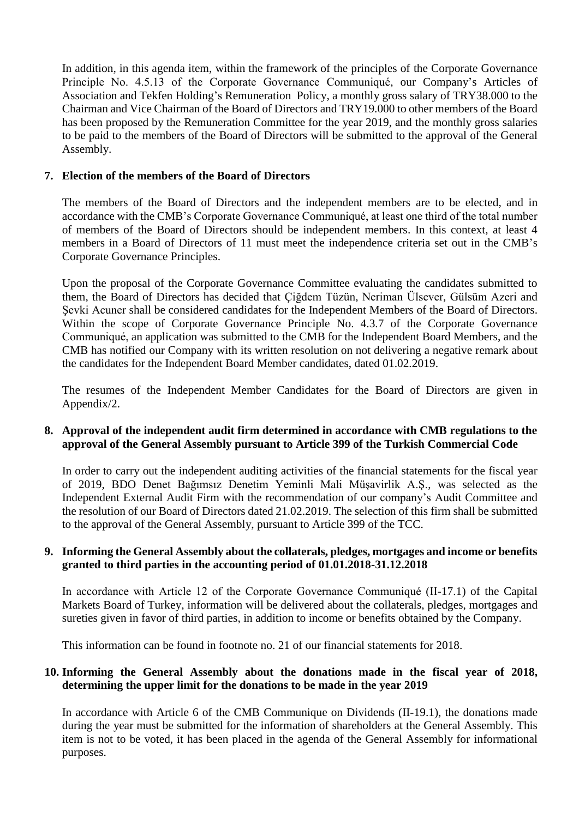In addition, in this agenda item, within the framework of the principles of the Corporate Governance Principle No. 4.5.13 of the Corporate Governance Communiqué, our Company's Articles of Association and Tekfen Holding's Remuneration Policy, a monthly gross salary of TRY38.000 to the Chairman and Vice Chairman of the Board of Directors and TRY19.000 to other members of the Board has been proposed by the Remuneration Committee for the year 2019, and the monthly gross salaries to be paid to the members of the Board of Directors will be submitted to the approval of the General Assembly.

#### **7. Election of the members of the Board of Directors**

The members of the Board of Directors and the independent members are to be elected, and in accordance with the CMB's Corporate Governance Communiqué, at least one third of the total number of members of the Board of Directors should be independent members. In this context, at least 4 members in a Board of Directors of 11 must meet the independence criteria set out in the CMB's Corporate Governance Principles.

Upon the proposal of the Corporate Governance Committee evaluating the candidates submitted to them, the Board of Directors has decided that Çiğdem Tüzün, Neriman Ülsever, Gülsüm Azeri and Sevki Acuner shall be considered candidates for the Independent Members of the Board of Directors. Within the scope of Corporate Governance Principle No. 4.3.7 of the Corporate Governance Communiqué, an application was submitted to the CMB for the Independent Board Members, and the CMB has notified our Company with its written resolution on not delivering a negative remark about the candidates for the Independent Board Member candidates, dated 01.02.2019.

The resumes of the Independent Member Candidates for the Board of Directors are given in Appendix/2.

### **8. Approval of the independent audit firm determined in accordance with CMB regulations to the approval of the General Assembly pursuant to Article 399 of the Turkish Commercial Code**

In order to carry out the independent auditing activities of the financial statements for the fiscal year of 2019, BDO Denet Bağımsız Denetim Yeminli Mali Müşavirlik A.Ş., was selected as the Independent External Audit Firm with the recommendation of our company's Audit Committee and the resolution of our Board of Directors dated 21.02.2019. The selection of this firm shall be submitted to the approval of the General Assembly, pursuant to Article 399 of the TCC.

### **9. Informing the General Assembly about the collaterals, pledges, mortgages and income or benefits granted to third parties in the accounting period of 01.01.2018-31.12.2018**

In accordance with Article 12 of the Corporate Governance Communiqué (II-17.1) of the Capital Markets Board of Turkey, information will be delivered about the collaterals, pledges, mortgages and sureties given in favor of third parties, in addition to income or benefits obtained by the Company.

This information can be found in footnote no. 21 of our financial statements for 2018.

### **10. Informing the General Assembly about the donations made in the fiscal year of 2018, determining the upper limit for the donations to be made in the year 2019**

In accordance with Article 6 of the CMB Communique on Dividends (II-19.1), the donations made during the year must be submitted for the information of shareholders at the General Assembly. This item is not to be voted, it has been placed in the agenda of the General Assembly for informational purposes.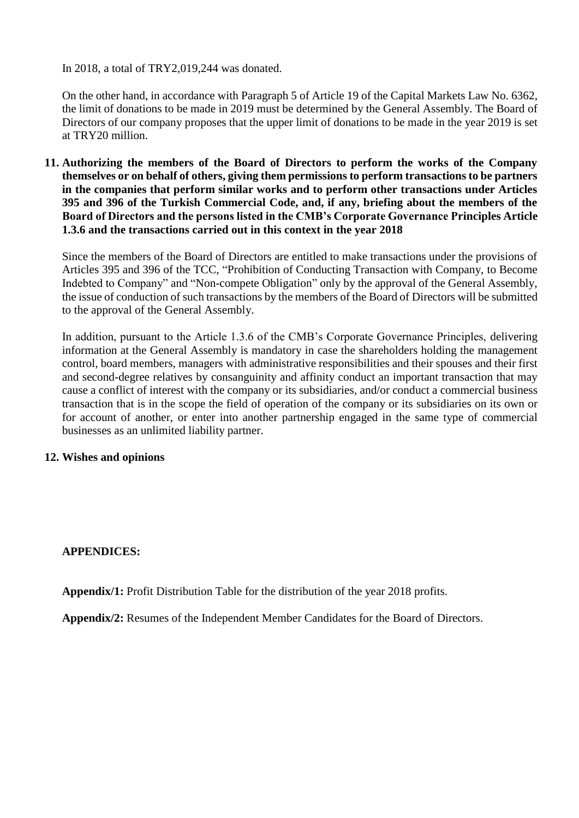In 2018, a total of TRY2,019,244 was donated.

On the other hand, in accordance with Paragraph 5 of Article 19 of the Capital Markets Law No. 6362, the limit of donations to be made in 2019 must be determined by the General Assembly. The Board of Directors of our company proposes that the upper limit of donations to be made in the year 2019 is set at TRY20 million.

**11. Authorizing the members of the Board of Directors to perform the works of the Company themselves or on behalf of others, giving them permissions to perform transactions to be partners in the companies that perform similar works and to perform other transactions under Articles 395 and 396 of the Turkish Commercial Code, and, if any, briefing about the members of the Board of Directors and the persons listed in the CMB's Corporate Governance Principles Article 1.3.6 and the transactions carried out in this context in the year 2018**

Since the members of the Board of Directors are entitled to make transactions under the provisions of Articles 395 and 396 of the TCC, "Prohibition of Conducting Transaction with Company, to Become Indebted to Company" and "Non-compete Obligation" only by the approval of the General Assembly, the issue of conduction of such transactions by the members of the Board of Directors will be submitted to the approval of the General Assembly.

In addition, pursuant to the Article 1.3.6 of the CMB's Corporate Governance Principles, delivering information at the General Assembly is mandatory in case the shareholders holding the management control, board members, managers with administrative responsibilities and their spouses and their first and second-degree relatives by consanguinity and affinity conduct an important transaction that may cause a conflict of interest with the company or its subsidiaries, and/or conduct a commercial business transaction that is in the scope the field of operation of the company or its subsidiaries on its own or for account of another, or enter into another partnership engaged in the same type of commercial businesses as an unlimited liability partner.

## **12. Wishes and opinions**

#### **APPENDICES:**

**Appendix/1:** Profit Distribution Table for the distribution of the year 2018 profits.

**Appendix/2:** Resumes of the Independent Member Candidates for the Board of Directors.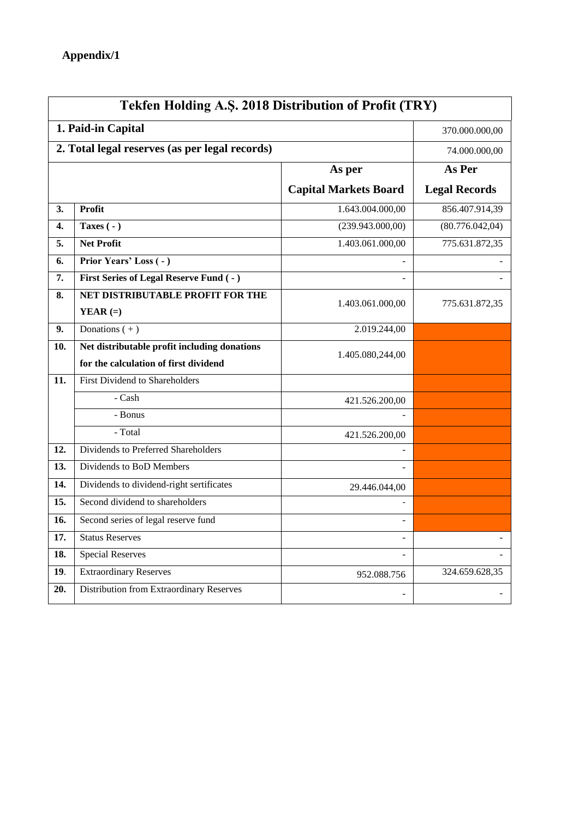| Tekfen Holding A.Ş. 2018 Distribution of Profit (TRY) |                                              |                              |                      |  |
|-------------------------------------------------------|----------------------------------------------|------------------------------|----------------------|--|
| 1. Paid-in Capital                                    |                                              |                              | 370.000.000,00       |  |
| 2. Total legal reserves (as per legal records)        |                                              |                              | 74.000.000,00        |  |
| As per                                                |                                              | As Per                       |                      |  |
|                                                       |                                              | <b>Capital Markets Board</b> | <b>Legal Records</b> |  |
| 3.                                                    | Profit                                       | 1.643.004.000,00             | 856.407.914,39       |  |
| 4.                                                    | Taxes $(-)$                                  | (239.943.000,00)             | (80.776.042,04)      |  |
| 5.                                                    | <b>Net Profit</b>                            | 1.403.061.000,00             | 775.631.872,35       |  |
| 6.                                                    | Prior Years' Loss (-)                        |                              |                      |  |
| 7.                                                    | First Series of Legal Reserve Fund (-)       |                              |                      |  |
| 8.                                                    | NET DISTRIBUTABLE PROFIT FOR THE             | 1.403.061.000,00             | 775.631.872,35       |  |
|                                                       | YEAR $(=)$                                   |                              |                      |  |
| 9.                                                    | Donations $(+)$                              | 2.019.244,00                 |                      |  |
| 10.                                                   | Net distributable profit including donations | 1.405.080,244,00             |                      |  |
|                                                       | for the calculation of first dividend        |                              |                      |  |
| 11.                                                   | First Dividend to Shareholders               |                              |                      |  |
|                                                       | - Cash                                       | 421.526.200,00               |                      |  |
|                                                       | - Bonus                                      |                              |                      |  |
|                                                       | - Total                                      | 421.526.200,00               |                      |  |
| 12.                                                   | Dividends to Preferred Shareholders          |                              |                      |  |
| 13.                                                   | Dividends to BoD Members                     |                              |                      |  |
| 14.                                                   | Dividends to dividend-right sertificates     | 29.446.044,00                |                      |  |
| 15.                                                   | Second dividend to shareholders              |                              |                      |  |
| 16.                                                   | Second series of legal reserve fund          | ÷.                           |                      |  |
| $\overline{17}$ .                                     | <b>Status Reserves</b>                       | $\overline{\phantom{a}}$     |                      |  |
| 18.                                                   | <b>Special Reserves</b>                      |                              |                      |  |
| 19.                                                   | <b>Extraordinary Reserves</b>                | 952.088.756                  | 324.659.628,35       |  |
| 20.                                                   | Distribution from Extraordinary Reserves     |                              |                      |  |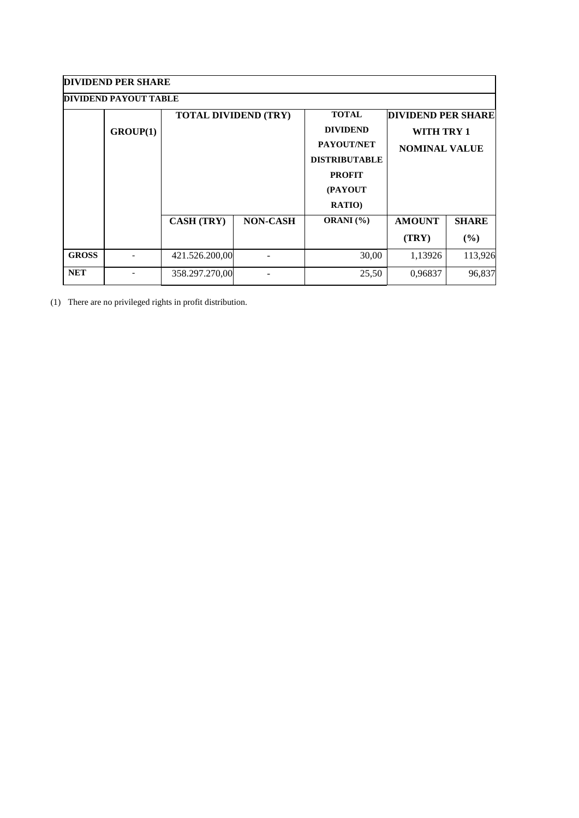| <b>DIVIDEND PER SHARE</b>    |          |                             |                 |                      |                           |              |  |  |
|------------------------------|----------|-----------------------------|-----------------|----------------------|---------------------------|--------------|--|--|
| <b>DIVIDEND PAYOUT TABLE</b> |          |                             |                 |                      |                           |              |  |  |
|                              |          | <b>TOTAL DIVIDEND (TRY)</b> |                 | <b>TOTAL</b>         | <b>DIVIDEND PER SHARE</b> |              |  |  |
|                              | GROUP(1) |                             |                 | <b>DIVIDEND</b>      | WITH TRY 1                |              |  |  |
|                              |          |                             |                 | PAYOUT/NET           | <b>NOMINAL VALUE</b>      |              |  |  |
|                              |          |                             |                 | <b>DISTRIBUTABLE</b> |                           |              |  |  |
|                              |          |                             |                 | <b>PROFIT</b>        |                           |              |  |  |
|                              |          |                             |                 | (PAYOUT              |                           |              |  |  |
|                              |          |                             |                 | <b>RATIO)</b>        |                           |              |  |  |
|                              |          | <b>CASH (TRY)</b>           | <b>NON-CASH</b> | ORANI (%)            | <b>AMOUNT</b>             | <b>SHARE</b> |  |  |
|                              |          |                             |                 |                      | (TRY)                     | (%)          |  |  |
| <b>GROSS</b>                 |          | 421.526.200,00              |                 | 30,00                | 1,13926                   | 113,926      |  |  |
| <b>NET</b>                   |          | 358.297.270,00              |                 | 25,50                | 0,96837                   | 96,837       |  |  |

(1) There are no privileged rights in profit distribution.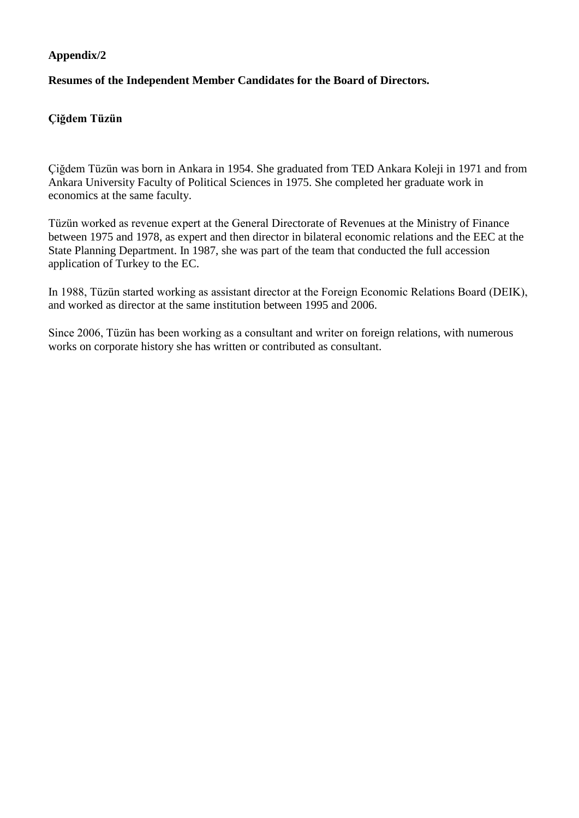## **Appendix/2**

## **Resumes of the Independent Member Candidates for the Board of Directors.**

## **Çiğdem Tüzün**

Çiğdem Tüzün was born in Ankara in 1954. She graduated from TED Ankara Koleji in 1971 and from Ankara University Faculty of Political Sciences in 1975. She completed her graduate work in economics at the same faculty.

Tüzün worked as revenue expert at the General Directorate of Revenues at the Ministry of Finance between 1975 and 1978, as expert and then director in bilateral economic relations and the EEC at the State Planning Department. In 1987, she was part of the team that conducted the full accession application of Turkey to the EC.

In 1988, Tüzün started working as assistant director at the Foreign Economic Relations Board (DEIK), and worked as director at the same institution between 1995 and 2006.

Since 2006, Tüzün has been working as a consultant and writer on foreign relations, with numerous works on corporate history she has written or contributed as consultant.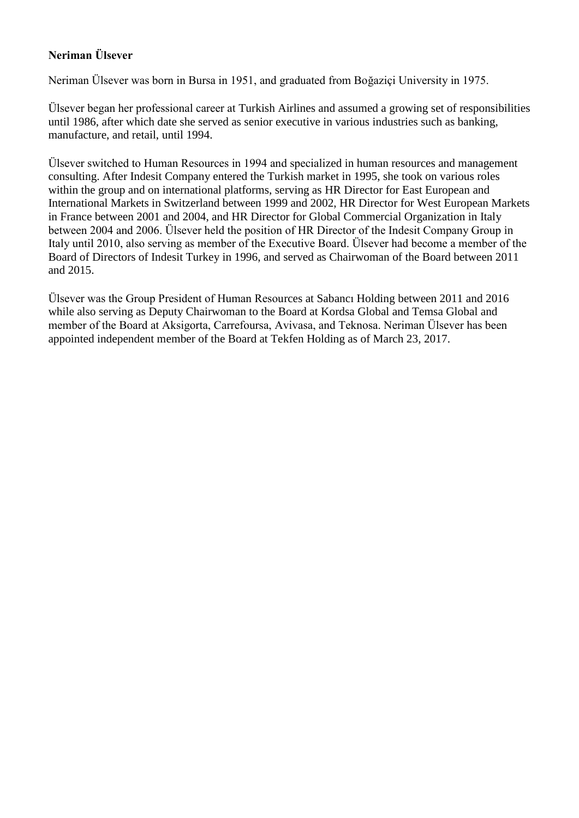# **Neriman Ülsever**

Neriman Ülsever was born in Bursa in 1951, and graduated from Boğaziçi University in 1975.

Ülsever began her professional career at Turkish Airlines and assumed a growing set of responsibilities until 1986, after which date she served as senior executive in various industries such as banking, manufacture, and retail, until 1994.

Ülsever switched to Human Resources in 1994 and specialized in human resources and management consulting. After Indesit Company entered the Turkish market in 1995, she took on various roles within the group and on international platforms, serving as HR Director for East European and International Markets in Switzerland between 1999 and 2002, HR Director for West European Markets in France between 2001 and 2004, and HR Director for Global Commercial Organization in Italy between 2004 and 2006. Ülsever held the position of HR Director of the Indesit Company Group in Italy until 2010, also serving as member of the Executive Board. Ülsever had become a member of the Board of Directors of Indesit Turkey in 1996, and served as Chairwoman of the Board between 2011 and 2015.

Ülsever was the Group President of Human Resources at Sabancı Holding between 2011 and 2016 while also serving as Deputy Chairwoman to the Board at Kordsa Global and Temsa Global and member of the Board at Aksigorta, Carrefoursa, Avivasa, and Teknosa. Neriman Ülsever has been appointed independent member of the Board at Tekfen Holding as of March 23, 2017.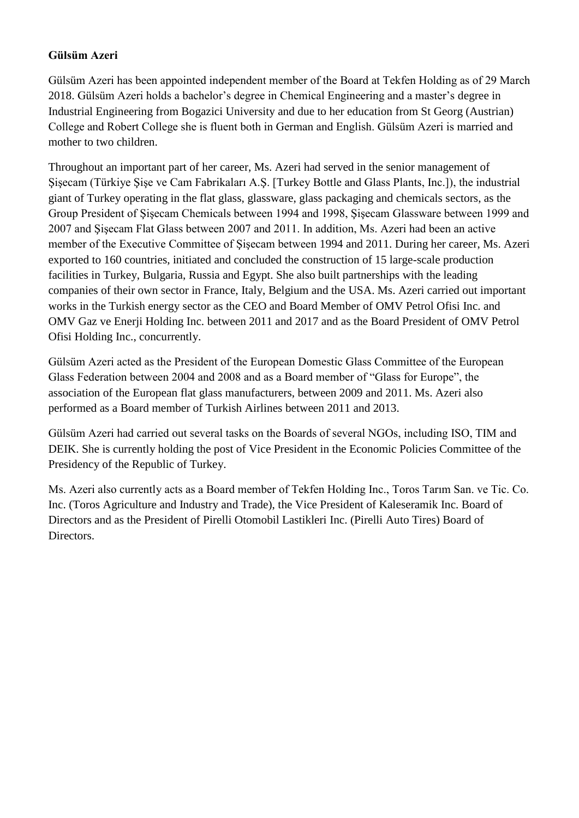## **Gülsüm Azeri**

Gülsüm Azeri has been appointed independent member of the Board at Tekfen Holding as of 29 March 2018. Gülsüm Azeri holds a bachelor's degree in Chemical Engineering and a master's degree in Industrial Engineering from Bogazici University and due to her education from St Georg (Austrian) College and Robert College she is fluent both in German and English. Gülsüm Azeri is married and mother to two children.

Throughout an important part of her career, Ms. Azeri had served in the senior management of Şişecam (Türkiye Şişe ve Cam Fabrikaları A.Ş. [Turkey Bottle and Glass Plants, Inc.]), the industrial giant of Turkey operating in the flat glass, glassware, glass packaging and chemicals sectors, as the Group President of Şişecam Chemicals between 1994 and 1998, Şişecam Glassware between 1999 and 2007 and Şişecam Flat Glass between 2007 and 2011. In addition, Ms. Azeri had been an active member of the Executive Committee of Şişecam between 1994 and 2011. During her career, Ms. Azeri exported to 160 countries, initiated and concluded the construction of 15 large-scale production facilities in Turkey, Bulgaria, Russia and Egypt. She also built partnerships with the leading companies of their own sector in France, Italy, Belgium and the USA. Ms. Azeri carried out important works in the Turkish energy sector as the CEO and Board Member of OMV Petrol Ofisi Inc. and OMV Gaz ve Enerji Holding Inc. between 2011 and 2017 and as the Board President of OMV Petrol Ofisi Holding Inc., concurrently.

Gülsüm Azeri acted as the President of the European Domestic Glass Committee of the European Glass Federation between 2004 and 2008 and as a Board member of "Glass for Europe", the association of the European flat glass manufacturers, between 2009 and 2011. Ms. Azeri also performed as a Board member of Turkish Airlines between 2011 and 2013.

Gülsüm Azeri had carried out several tasks on the Boards of several NGOs, including ISO, TIM and DEIK. She is currently holding the post of Vice President in the Economic Policies Committee of the Presidency of the Republic of Turkey.

Ms. Azeri also currently acts as a Board member of Tekfen Holding Inc., Toros Tarım San. ve Tic. Co. Inc. (Toros Agriculture and Industry and Trade), the Vice President of Kaleseramik Inc. Board of Directors and as the President of Pirelli Otomobil Lastikleri Inc. (Pirelli Auto Tires) Board of Directors.